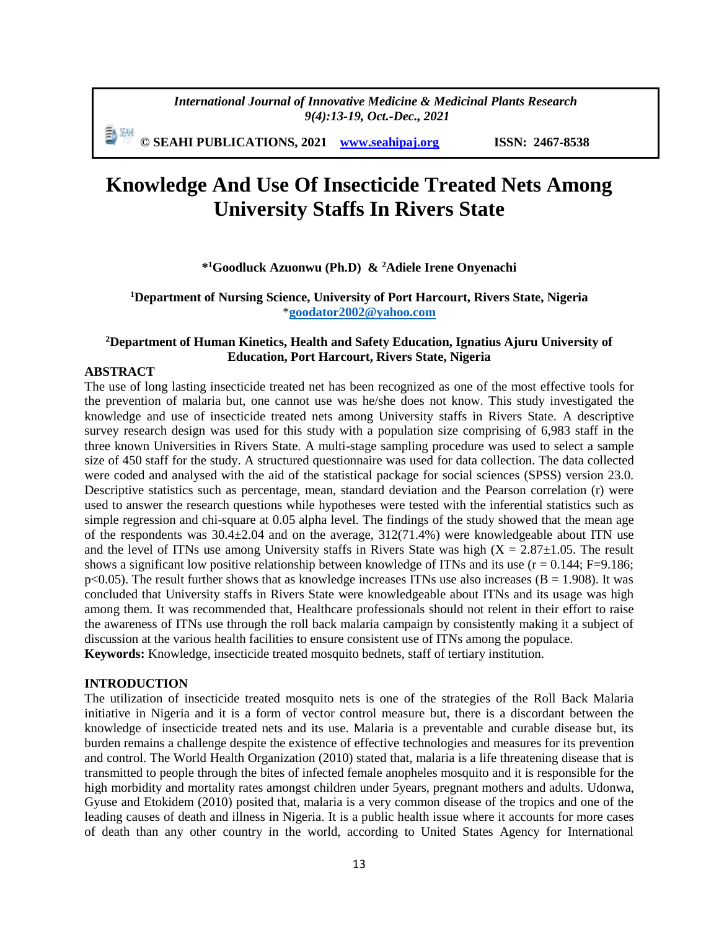*International Journal of Innovative Medicine & Medicinal Plants Research 9(4):13-19, Oct.-Dec., 2021*

動網 **© SEAHI PUBLICATIONS, 2021 [www.seahipaj.org](http://www.seahipaj.org/) ISSN: 2467-8538**

# **Knowledge And Use Of Insecticide Treated Nets Among University Staffs In Rivers State**

# **\* <sup>1</sup>Goodluck Azuonwu (Ph.D) & <sup>2</sup>Adiele Irene Onyenachi**

## **<sup>1</sup>Department of Nursing Science, University of Port Harcourt, Rivers State, Nigeria** \***[goodator2002@yahoo.com](mailto:goodator2002@yahoo.com)**

## **<sup>2</sup>Department of Human Kinetics, Health and Safety Education, Ignatius Ajuru University of Education, Port Harcourt, Rivers State, Nigeria**

## **ABSTRACT**

The use of long lasting insecticide treated net has been recognized as one of the most effective tools for the prevention of malaria but, one cannot use was he/she does not know. This study investigated the knowledge and use of insecticide treated nets among University staffs in Rivers State. A descriptive survey research design was used for this study with a population size comprising of 6,983 staff in the three known Universities in Rivers State. A multi-stage sampling procedure was used to select a sample size of 450 staff for the study. A structured questionnaire was used for data collection. The data collected were coded and analysed with the aid of the statistical package for social sciences (SPSS) version 23.0. Descriptive statistics such as percentage, mean, standard deviation and the Pearson correlation (r) were used to answer the research questions while hypotheses were tested with the inferential statistics such as simple regression and chi-square at 0.05 alpha level. The findings of the study showed that the mean age of the respondents was  $30.4 \pm 2.04$  and on the average,  $312(71.4%)$  were knowledgeable about ITN use and the level of ITNs use among University staffs in Rivers State was high  $(X = 2.87 \pm 1.05$ . The result shows a significant low positive relationship between knowledge of ITNs and its use ( $r = 0.144$ ; F=9.186;  $p<0.05$ ). The result further shows that as knowledge increases ITNs use also increases (B = 1.908). It was concluded that University staffs in Rivers State were knowledgeable about ITNs and its usage was high among them. It was recommended that, Healthcare professionals should not relent in their effort to raise the awareness of ITNs use through the roll back malaria campaign by consistently making it a subject of discussion at the various health facilities to ensure consistent use of ITNs among the populace. **Keywords:** Knowledge, insecticide treated mosquito bednets, staff of tertiary institution.

#### **INTRODUCTION**

The utilization of insecticide treated mosquito nets is one of the strategies of the Roll Back Malaria initiative in Nigeria and it is a form of vector control measure but, there is a discordant between the knowledge of insecticide treated nets and its use. Malaria is a preventable and curable disease but, its burden remains a challenge despite the existence of effective technologies and measures for its prevention and control. The World Health Organization (2010) stated that, malaria is a life threatening disease that is transmitted to people through the bites of infected female anopheles mosquito and it is responsible for the high morbidity and mortality rates amongst children under 5years, pregnant mothers and adults. Udonwa, Gyuse and Etokidem (2010) posited that, malaria is a very common disease of the tropics and one of the leading causes of death and illness in Nigeria. It is a public health issue where it accounts for more cases of death than any other country in the world, according to United States Agency for International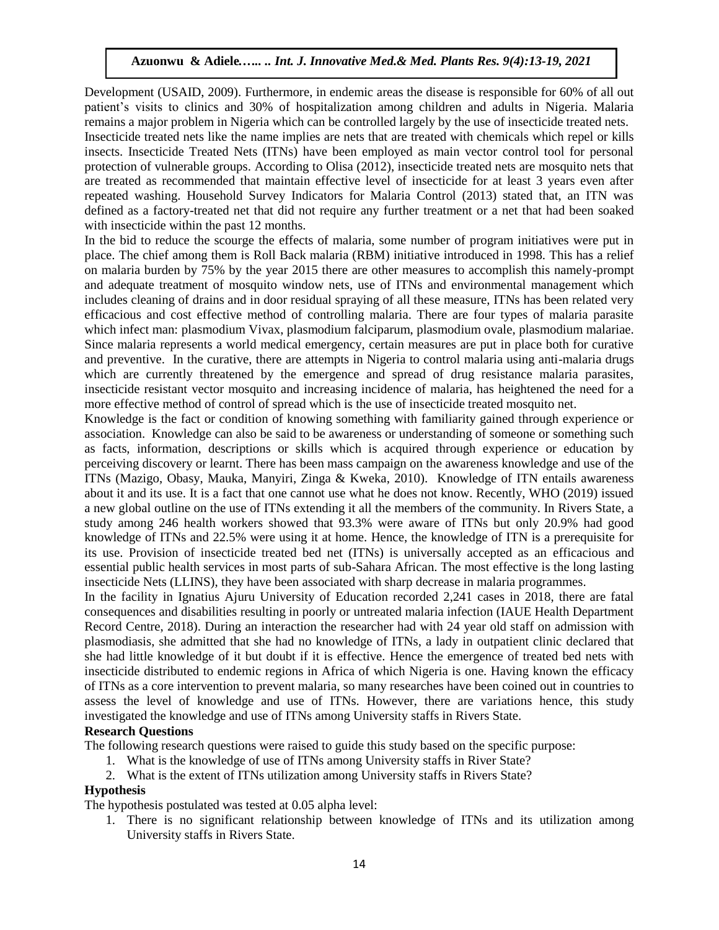Development (USAID, 2009). Furthermore, in endemic areas the disease is responsible for 60% of all out patient's visits to clinics and 30% of hospitalization among children and adults in Nigeria. Malaria remains a major problem in Nigeria which can be controlled largely by the use of insecticide treated nets. Insecticide treated nets like the name implies are nets that are treated with chemicals which repel or kills insects. Insecticide Treated Nets (ITNs) have been employed as main vector control tool for personal protection of vulnerable groups. According to Olisa (2012), insecticide treated nets are mosquito nets that are treated as recommended that maintain effective level of insecticide for at least 3 years even after repeated washing. Household Survey Indicators for Malaria Control (2013) stated that, an ITN was defined as a factory-treated net that did not require any further treatment or a net that had been soaked with insecticide within the past 12 months.

In the bid to reduce the scourge the effects of malaria, some number of program initiatives were put in place. The chief among them is Roll Back malaria (RBM) initiative introduced in 1998. This has a relief on malaria burden by 75% by the year 2015 there are other measures to accomplish this namely-prompt and adequate treatment of mosquito window nets, use of ITNs and environmental management which includes cleaning of drains and in door residual spraying of all these measure, ITNs has been related very efficacious and cost effective method of controlling malaria. There are four types of malaria parasite which infect man: plasmodium Vivax, plasmodium falciparum, plasmodium ovale, plasmodium malariae. Since malaria represents a world medical emergency, certain measures are put in place both for curative and preventive. In the curative, there are attempts in Nigeria to control malaria using anti-malaria drugs which are currently threatened by the emergence and spread of drug resistance malaria parasites, insecticide resistant vector mosquito and increasing incidence of malaria, has heightened the need for a more effective method of control of spread which is the use of insecticide treated mosquito net.

Knowledge is the fact or condition of knowing something with familiarity gained through experience or association. Knowledge can also be said to be awareness or understanding of someone or something such as facts, information, descriptions or skills which is acquired through experience or education by perceiving discovery or learnt. There has been mass campaign on the awareness knowledge and use of the ITNs (Mazigo, Obasy, Mauka, Manyiri, Zinga & Kweka, 2010). Knowledge of ITN entails awareness about it and its use. It is a fact that one cannot use what he does not know. Recently, WHO (2019) issued a new global outline on the use of ITNs extending it all the members of the community. In Rivers State, a study among 246 health workers showed that 93.3% were aware of ITNs but only 20.9% had good knowledge of ITNs and 22.5% were using it at home. Hence, the knowledge of ITN is a prerequisite for its use. Provision of insecticide treated bed net (ITNs) is universally accepted as an efficacious and essential public health services in most parts of sub-Sahara African. The most effective is the long lasting insecticide Nets (LLINS), they have been associated with sharp decrease in malaria programmes.

In the facility in Ignatius Ajuru University of Education recorded 2,241 cases in 2018, there are fatal consequences and disabilities resulting in poorly or untreated malaria infection (IAUE Health Department Record Centre, 2018). During an interaction the researcher had with 24 year old staff on admission with plasmodiasis, she admitted that she had no knowledge of ITNs, a lady in outpatient clinic declared that she had little knowledge of it but doubt if it is effective. Hence the emergence of treated bed nets with insecticide distributed to endemic regions in Africa of which Nigeria is one. Having known the efficacy of ITNs as a core intervention to prevent malaria, so many researches have been coined out in countries to assess the level of knowledge and use of ITNs. However, there are variations hence, this study investigated the knowledge and use of ITNs among University staffs in Rivers State.

### **Research Questions**

The following research questions were raised to guide this study based on the specific purpose:

1. What is the knowledge of use of ITNs among University staffs in River State?

2. What is the extent of ITNs utilization among University staffs in Rivers State?

## **Hypothesis**

The hypothesis postulated was tested at 0.05 alpha level:

1. There is no significant relationship between knowledge of ITNs and its utilization among University staffs in Rivers State.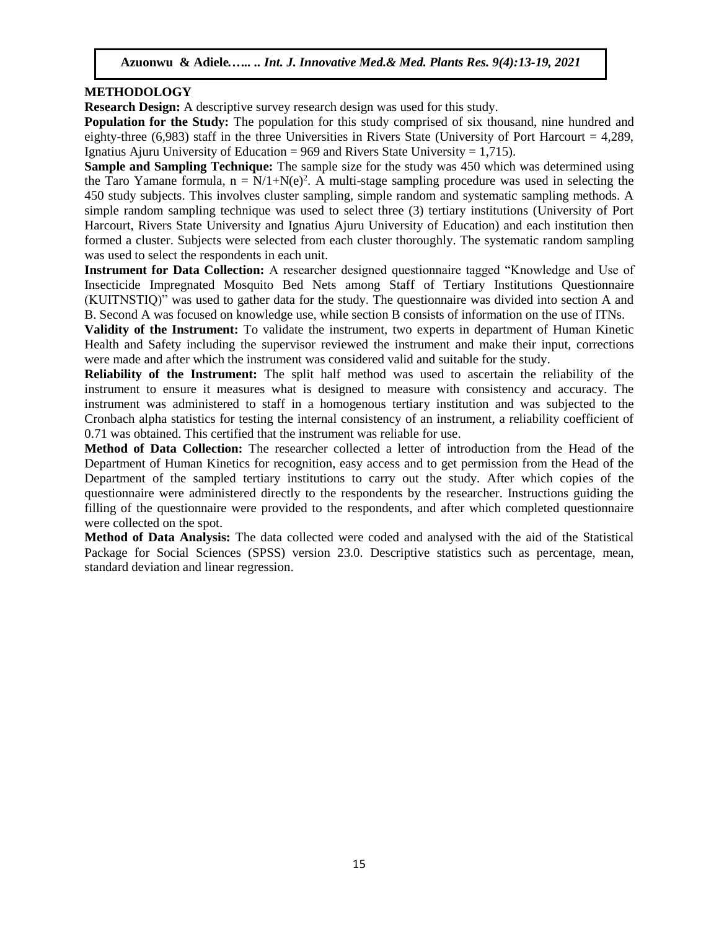# **METHODOLOGY**

**Research Design:** A descriptive survey research design was used for this study.

**Population for the Study:** The population for this study comprised of six thousand, nine hundred and eighty-three  $(6,983)$  staff in the three Universities in Rivers State (University of Port Harcourt = 4,289, Ignatius Ajuru University of Education =  $969$  and Rivers State University = 1.715).

**Sample and Sampling Technique:** The sample size for the study was 450 which was determined using the Taro Yamane formula,  $n = N/1+N(e)^2$ . A multi-stage sampling procedure was used in selecting the 450 study subjects. This involves cluster sampling, simple random and systematic sampling methods. A simple random sampling technique was used to select three (3) tertiary institutions (University of Port Harcourt, Rivers State University and Ignatius Ajuru University of Education) and each institution then formed a cluster. Subjects were selected from each cluster thoroughly. The systematic random sampling was used to select the respondents in each unit.

**Instrument for Data Collection:** A researcher designed questionnaire tagged "Knowledge and Use of Insecticide Impregnated Mosquito Bed Nets among Staff of Tertiary Institutions Questionnaire (KUITNSTIQ)" was used to gather data for the study. The questionnaire was divided into section A and B. Second A was focused on knowledge use, while section B consists of information on the use of ITNs.

**Validity of the Instrument:** To validate the instrument, two experts in department of Human Kinetic Health and Safety including the supervisor reviewed the instrument and make their input, corrections were made and after which the instrument was considered valid and suitable for the study.

**Reliability of the Instrument:** The split half method was used to ascertain the reliability of the instrument to ensure it measures what is designed to measure with consistency and accuracy. The instrument was administered to staff in a homogenous tertiary institution and was subjected to the Cronbach alpha statistics for testing the internal consistency of an instrument, a reliability coefficient of 0.71 was obtained. This certified that the instrument was reliable for use.

**Method of Data Collection:** The researcher collected a letter of introduction from the Head of the Department of Human Kinetics for recognition, easy access and to get permission from the Head of the Department of the sampled tertiary institutions to carry out the study. After which copies of the questionnaire were administered directly to the respondents by the researcher. Instructions guiding the filling of the questionnaire were provided to the respondents, and after which completed questionnaire were collected on the spot.

**Method of Data Analysis:** The data collected were coded and analysed with the aid of the Statistical Package for Social Sciences (SPSS) version 23.0. Descriptive statistics such as percentage, mean, standard deviation and linear regression.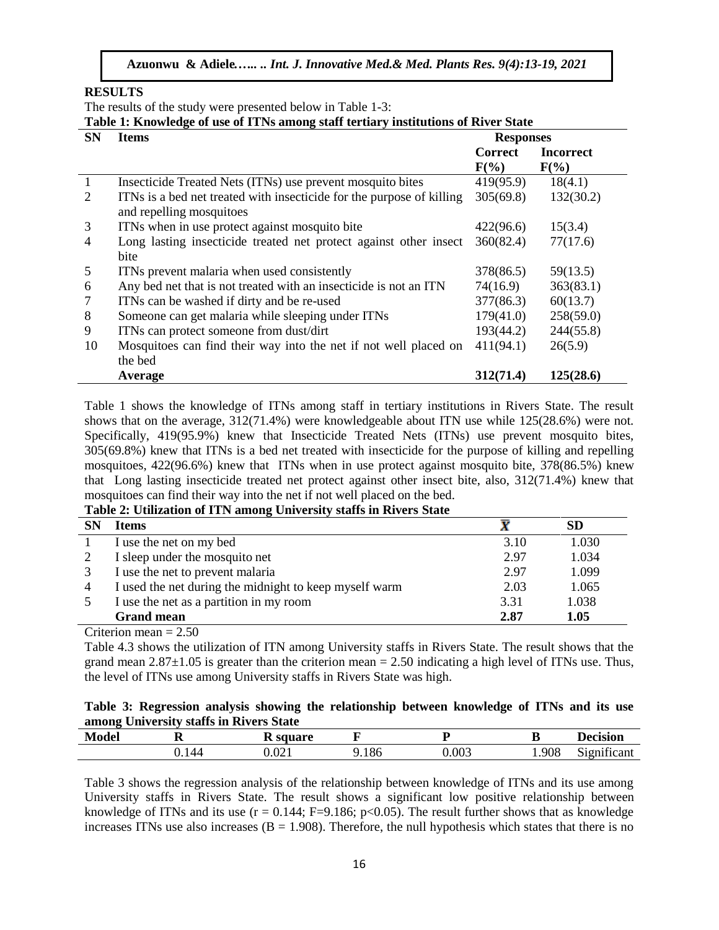#### **RESULTS**

The results of the study were presented below in Table 1-3:

**Table 1: Knowledge of use of ITNs among staff tertiary institutions of River State** 

| <b>SN</b>      | <b>EXAMPLE 21 AMOUNT COMPUTER AND CALLED MALLOTING DEMALLY AND CONTROLLED OF ALL US</b><br><b>Items</b> | <b>Responses</b> |                  |  |
|----------------|---------------------------------------------------------------------------------------------------------|------------------|------------------|--|
|                |                                                                                                         | <b>Correct</b>   | <b>Incorrect</b> |  |
|                |                                                                                                         | $F(\%)$          | $F(\%)$          |  |
| $\overline{1}$ | Insecticide Treated Nets (ITNs) use prevent mosquito bites                                              | 419(95.9)        | 18(4.1)          |  |
| 2              | ITNs is a bed net treated with insecticide for the purpose of killing                                   | 305(69.8)        | 132(30.2)        |  |
|                | and repelling mosquitoes                                                                                |                  |                  |  |
| 3              | ITNs when in use protect against mosquito bite                                                          | 422(96.6)        | 15(3.4)          |  |
| 4              | Long lasting insecticide treated net protect against other insect                                       | 360(82.4)        | 77(17.6)         |  |
|                | bite                                                                                                    |                  |                  |  |
| 5              | ITNs prevent malaria when used consistently                                                             | 378(86.5)        | 59(13.5)         |  |
| 6              | Any bed net that is not treated with an insecticide is not an ITN                                       | 74(16.9)         | 363(83.1)        |  |
| 7              | ITNs can be washed if dirty and be re-used                                                              | 377(86.3)        | 60(13.7)         |  |
| 8              | Someone can get malaria while sleeping under ITNs                                                       | 179(41.0)        | 258(59.0)        |  |
| 9              | ITNs can protect someone from dust/dirt                                                                 | 193(44.2)        | 244(55.8)        |  |
| 10             | Mosquitoes can find their way into the net if not well placed on                                        | 411(94.1)        | 26(5.9)          |  |
|                | the bed                                                                                                 |                  |                  |  |
|                | Average                                                                                                 | 312(71.4)        | 125(28.6)        |  |

Table 1 shows the knowledge of ITNs among staff in tertiary institutions in Rivers State. The result shows that on the average, 312(71.4%) were knowledgeable about ITN use while 125(28.6%) were not. Specifically, 419(95.9%) knew that Insecticide Treated Nets (ITNs) use prevent mosquito bites, 305(69.8%) knew that ITNs is a bed net treated with insecticide for the purpose of killing and repelling mosquitoes, 422(96.6%) knew that ITNs when in use protect against mosquito bite, 378(86.5%) knew that Long lasting insecticide treated net protect against other insect bite, also, 312(71.4%) knew that mosquitoes can find their way into the net if not well placed on the bed.

#### **Table 2: Utilization of ITN among University staffs in Rivers State**

| SN             | <b>Items</b>                                           |      | SD    |
|----------------|--------------------------------------------------------|------|-------|
|                | I use the net on my bed                                | 3.10 | 1.030 |
|                | I sleep under the mosquito net                         | 2.97 | 1.034 |
|                | I use the net to prevent malaria                       | 2.97 | 1.099 |
| $\overline{4}$ | I used the net during the midnight to keep myself warm | 2.03 | 1.065 |
|                | I use the net as a partition in my room                | 3.31 | 1.038 |
|                | <b>Grand mean</b>                                      | 2.87 | 1.05  |

Criterion mean  $= 2.50$ 

Table 4.3 shows the utilization of ITN among University staffs in Rivers State. The result shows that the grand mean  $2.87\pm1.05$  is greater than the criterion mean = 2.50 indicating a high level of ITNs use. Thus, the level of ITNs use among University staffs in Rivers State was high.

## **Table 3: Regression analysis showing the relationship between knowledge of ITNs and its use among University staffs in Rivers State**

| <b>Mode</b><br>ue. |    | Canora<br>. .           |             | -     | -     | ecision                                            |
|--------------------|----|-------------------------|-------------|-------|-------|----------------------------------------------------|
|                    | 47 | $\Omega$<br>J.UZ I<br>. | 1Qf<br>,100 | 0.003 | 1.908 | $\cdot$ $\sim$<br>$\sim\cdot$<br>$\cdots$<br>.10TM |

Table 3 shows the regression analysis of the relationship between knowledge of ITNs and its use among University staffs in Rivers State. The result shows a significant low positive relationship between knowledge of ITNs and its use  $(r = 0.144; F = 9.186; p < 0.05)$ . The result further shows that as knowledge increases ITNs use also increases ( $B = 1.908$ ). Therefore, the null hypothesis which states that there is no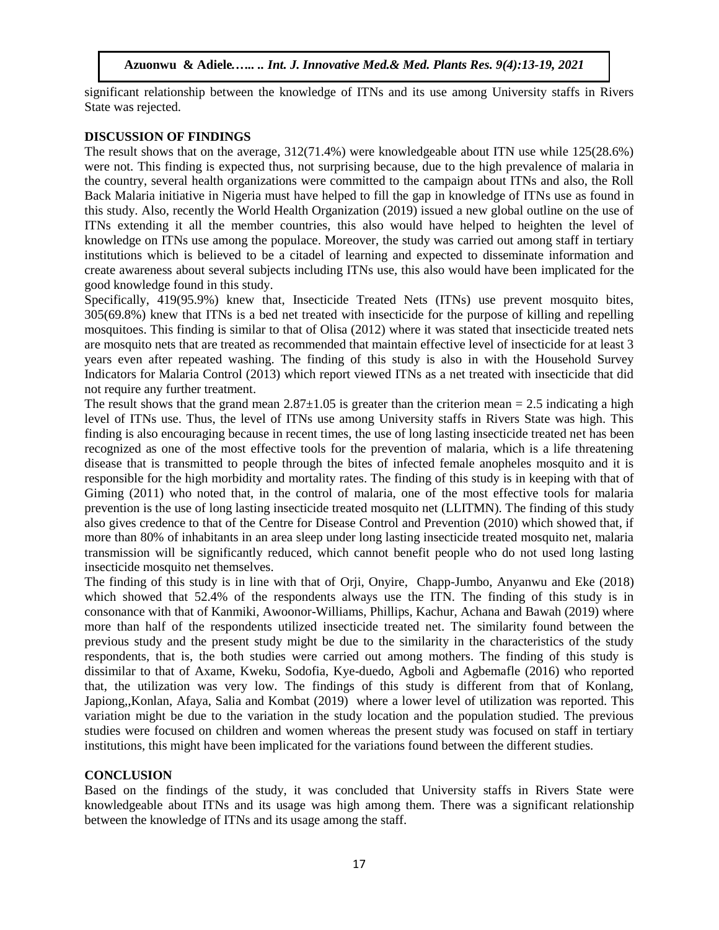significant relationship between the knowledge of ITNs and its use among University staffs in Rivers State was rejected.

## **DISCUSSION OF FINDINGS**

The result shows that on the average, 312(71.4%) were knowledgeable about ITN use while 125(28.6%) were not. This finding is expected thus, not surprising because, due to the high prevalence of malaria in the country, several health organizations were committed to the campaign about ITNs and also, the Roll Back Malaria initiative in Nigeria must have helped to fill the gap in knowledge of ITNs use as found in this study. Also, recently the World Health Organization (2019) issued a new global outline on the use of ITNs extending it all the member countries, this also would have helped to heighten the level of knowledge on ITNs use among the populace. Moreover, the study was carried out among staff in tertiary institutions which is believed to be a citadel of learning and expected to disseminate information and create awareness about several subjects including ITNs use, this also would have been implicated for the good knowledge found in this study.

Specifically, 419(95.9%) knew that, Insecticide Treated Nets (ITNs) use prevent mosquito bites, 305(69.8%) knew that ITNs is a bed net treated with insecticide for the purpose of killing and repelling mosquitoes. This finding is similar to that of Olisa (2012) where it was stated that insecticide treated nets are mosquito nets that are treated as recommended that maintain effective level of insecticide for at least 3 years even after repeated washing. The finding of this study is also in with the Household Survey Indicators for Malaria Control (2013) which report viewed ITNs as a net treated with insecticide that did not require any further treatment.

The result shows that the grand mean  $2.87\pm1.05$  is greater than the criterion mean = 2.5 indicating a high level of ITNs use. Thus, the level of ITNs use among University staffs in Rivers State was high. This finding is also encouraging because in recent times, the use of long lasting insecticide treated net has been recognized as one of the most effective tools for the prevention of malaria, which is a life threatening disease that is transmitted to people through the bites of infected female anopheles mosquito and it is responsible for the high morbidity and mortality rates. The finding of this study is in keeping with that of Giming (2011) who noted that, in the control of malaria, one of the most effective tools for malaria prevention is the use of long lasting insecticide treated mosquito net (LLITMN). The finding of this study also gives credence to that of the Centre for Disease Control and Prevention (2010) which showed that, if more than 80% of inhabitants in an area sleep under long lasting insecticide treated mosquito net, malaria transmission will be significantly reduced, which cannot benefit people who do not used long lasting insecticide mosquito net themselves.

The finding of this study is in line with that of [Orji,](http://www.annalsafrmed.org/searchresult.asp?search=&author=Maria+Lauretta+Orji&journal=Y&but_search=Search&entries=10&pg=1&s=0) [Onyire,](http://www.annalsafrmed.org/searchresult.asp?search=&author=Nnamdi+Benson+Onyire&journal=Y&but_search=Search&entries=10&pg=1&s=0) [Chapp-Jumbo,](http://www.annalsafrmed.org/searchresult.asp?search=&author=Assumpta+Chapp%2DJumbo&journal=Y&but_search=Search&entries=10&pg=1&s=0) [Anyanwu](http://www.annalsafrmed.org/searchresult.asp?search=&author=Onyinye+Uchenna+Anyanwu&journal=Y&but_search=Search&entries=10&pg=1&s=0) and [Eke](http://www.annalsafrmed.org/searchresult.asp?search=&author=Christopher+Bismarck+Eke&journal=Y&but_search=Search&entries=10&pg=1&s=0) (2018) which showed that 52.4% of the respondents always use the ITN. The finding of this study is in consonance with that of Kanmiki, Awoonor-Williams, Phillips, Kachur, Achana and Bawah (2019) where more than half of the respondents utilized insecticide treated net. The similarity found between the previous study and the present study might be due to the similarity in the characteristics of the study respondents, that is, the both studies were carried out among mothers. The finding of this study is dissimilar to that of Axame, Kweku, Sodofia, Kye-duedo, Agboli and Agbemafle (2016) who reported that, the utilization was very low. The findings of this study is different from that of Konlang, Japiong,,Konlan, Afaya, Salia and Kombat (2019) where a lower level of utilization was reported. This variation might be due to the variation in the study location and the population studied. The previous studies were focused on children and women whereas the present study was focused on staff in tertiary institutions, this might have been implicated for the variations found between the different studies.

## **CONCLUSION**

Based on the findings of the study, it was concluded that University staffs in Rivers State were knowledgeable about ITNs and its usage was high among them. There was a significant relationship between the knowledge of ITNs and its usage among the staff.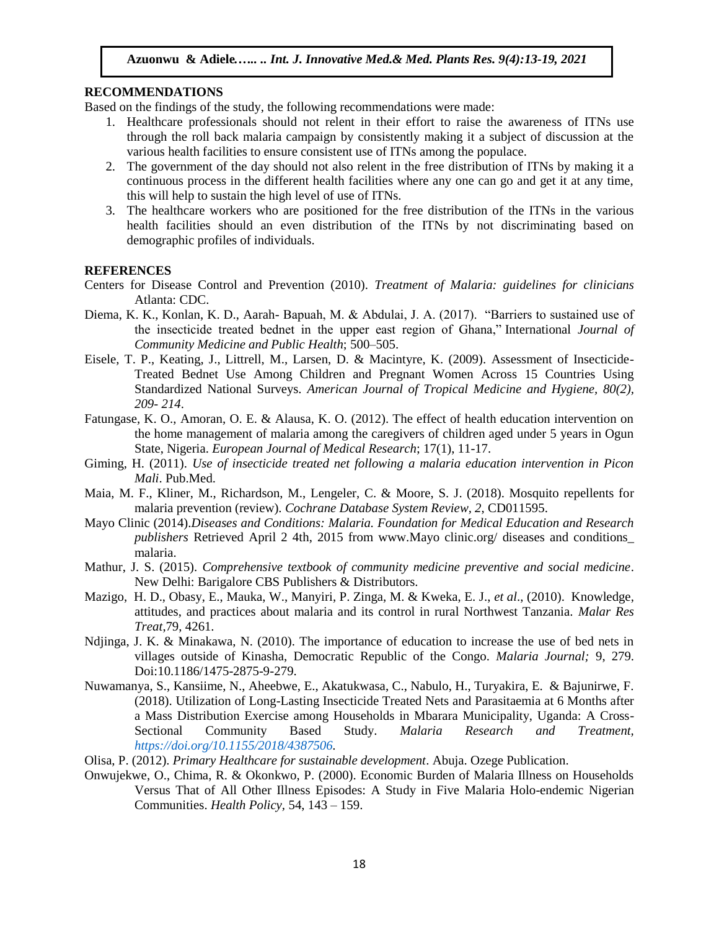#### **RECOMMENDATIONS**

Based on the findings of the study, the following recommendations were made:

- 1. Healthcare professionals should not relent in their effort to raise the awareness of ITNs use through the roll back malaria campaign by consistently making it a subject of discussion at the various health facilities to ensure consistent use of ITNs among the populace.
- 2. The government of the day should not also relent in the free distribution of ITNs by making it a continuous process in the different health facilities where any one can go and get it at any time, this will help to sustain the high level of use of ITNs.
- 3. The healthcare workers who are positioned for the free distribution of the ITNs in the various health facilities should an even distribution of the ITNs by not discriminating based on demographic profiles of individuals.

#### **REFERENCES**

- Centers for Disease Control and Prevention (2010). *Treatment of Malaria: guidelines for clinicians*  Atlanta: CDC.
- Diema, K. K., Konlan, K. D., Aarah- Bapuah, M. & Abdulai, J. A. (2017). "Barriers to sustained use of the insecticide treated bednet in the upper east region of Ghana," International *Journal of Community Medicine and Public Health*; 500–505.
- Eisele, T. P., Keating, J., Littrell, M., Larsen, D. & Macintyre, K. (2009). Assessment of Insecticide-Treated Bednet Use Among Children and Pregnant Women Across 15 Countries Using Standardized National Surveys. *American Journal of Tropical Medicine and Hygiene, 80(2), 209- 214*.
- Fatungase, K. O., Amoran, O. E. & Alausa, K. O. (2012). The effect of health education intervention on the home management of malaria among the caregivers of children aged under 5 years in Ogun State, Nigeria. *European Journal of Medical Research*; 17(1), 11-17.
- Giming, H. (2011). *Use of insecticide treated net following a malaria education intervention in Picon Mali*. Pub.Med.
- Maia, M. F., Kliner, M., Richardson, M., Lengeler, C. & Moore, S. J. (2018). Mosquito repellents for malaria prevention (review). *Cochrane Database System Review, 2*, CD011595.
- Mayo Clinic (2014).*Diseases and Conditions: Malaria. Foundation for Medical Education and Research publishers* Retrieved April 2 4th, 2015 from www.Mayo clinic.org/ diseases and conditions\_ malaria.
- Mathur, J. S. (2015). *Comprehensive textbook of community medicine preventive and social medicine*. New Delhi: Barigalore CBS Publishers & Distributors.
- Mazigo, H. D., Obasy, E., Mauka, W., Manyiri, P. Zinga, M. & Kweka, E. J., *et al*., (2010). Knowledge, attitudes, and practices about malaria and its control in rural Northwest Tanzania. *Malar Res Treat*,79, 4261.
- Ndjinga, J. K. & Minakawa, N. (2010). The importance of education to increase the use of bed nets in villages outside of Kinasha, Democratic Republic of the Congo. *Malaria Journal;* 9, 279. Doi:10.1186/1475-2875-9-279.
- Nuwamanya, S., Kansiime, N., Aheebwe, E., Akatukwasa, C., Nabulo, H., Turyakira, E. & Bajunirwe, F. (2018). Utilization of Long-Lasting Insecticide Treated Nets and Parasitaemia at 6 Months after a Mass Distribution Exercise among Households in Mbarara Municipality, Uganda: A Cross-Sectional Community Based Study. *Malaria Research and Treatment, [https://doi.org/10.1155/2018/4387506.](https://doi.org/10.1155/2018/4387506)*
- Olisa, P. (2012). *Primary Healthcare for sustainable development*. Abuja. Ozege Publication.
- Onwujekwe, O., Chima, R. & Okonkwo, P. (2000). Economic Burden of Malaria Illness on Households Versus That of All Other Illness Episodes: A Study in Five Malaria Holo-endemic Nigerian Communities. *Health Policy,* 54, 143 – 159.